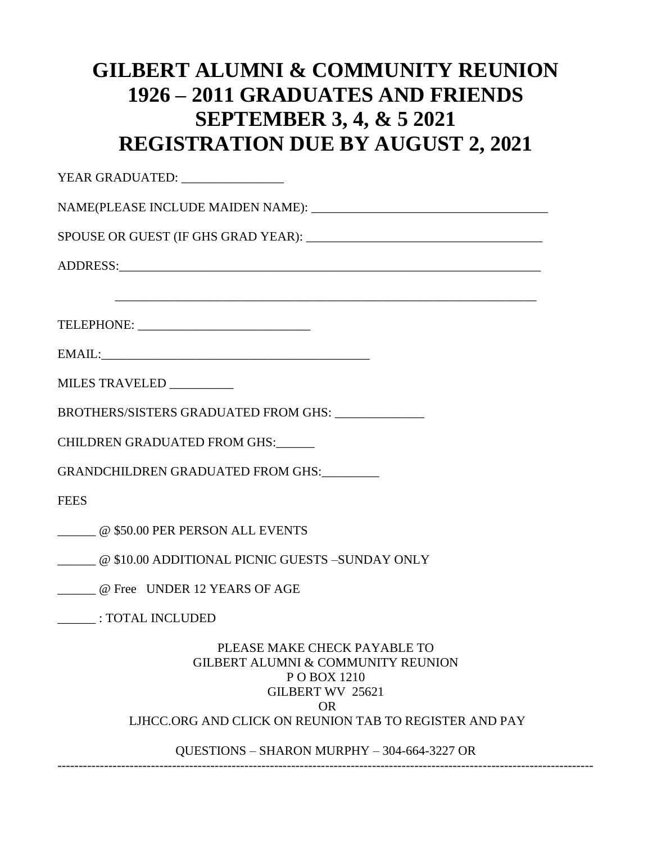## **GILBERT ALUMNI & COMMUNITY REUNION 1926 – 2011 GRADUATES AND FRIENDS SEPTEMBER 3, 4, & 5 2021 REGISTRATION DUE BY AUGUST 2, 2021**

| YEAR GRADUATED: _________________                                                                                              |
|--------------------------------------------------------------------------------------------------------------------------------|
|                                                                                                                                |
|                                                                                                                                |
|                                                                                                                                |
|                                                                                                                                |
|                                                                                                                                |
|                                                                                                                                |
|                                                                                                                                |
| MILES TRAVELED _________                                                                                                       |
| BROTHERS/SISTERS GRADUATED FROM GHS: _____________                                                                             |
| CHILDREN GRADUATED FROM GHS:                                                                                                   |
| GRANDCHILDREN GRADUATED FROM GHS:                                                                                              |
| <b>FEES</b>                                                                                                                    |
| @ \$50.00 PER PERSON ALL EVENTS                                                                                                |
| @ \$10.00 ADDITIONAL PICNIC GUESTS -SUNDAY ONLY                                                                                |
| @ Free UNDER 12 YEARS OF AGE                                                                                                   |
| : TOTAL INCLUDED                                                                                                               |
| PLEASE MAKE CHECK PAYABLE TO<br><b>GILBERT ALUMNI &amp; COMMUNITY REUNION</b><br>P O BOX 1210<br>GILBERT WV 25621<br><b>OR</b> |
| LJHCC.ORG AND CLICK ON REUNION TAB TO REGISTER AND PAY                                                                         |
| QUESTIONS - SHARON MURPHY - 304-664-3227 OR                                                                                    |

------------------------------------------------------------------------------------------------------------------------------